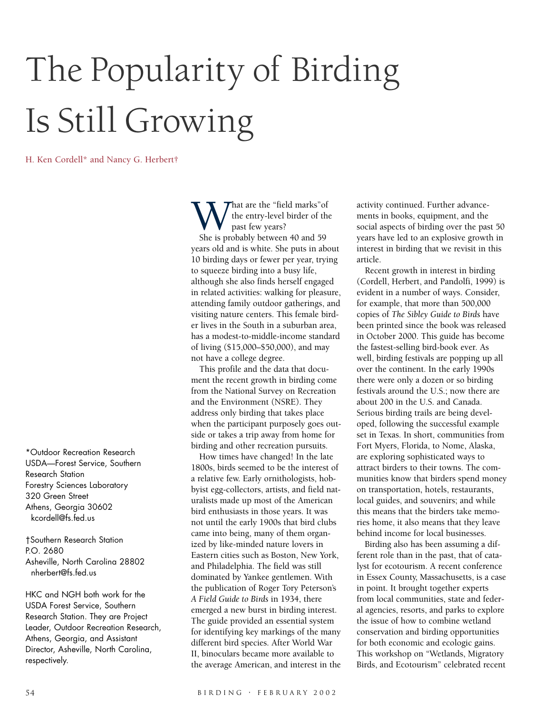# The Popularity of Birding Is Still Growing

H. Ken Cordell\* and Nancy G. Herbert†

\*Outdoor Recreation Research USDA—Forest Service, Southern Research Station Forestry Sciences Laboratory 320 Green Street Athens, Georgia 30602 kcordell@fs.fed.us

†Southern Research Station P.O. 2680 Asheville, North Carolina 28802 nherbert@fs.fed.us

HKC and NGH both work for the USDA Forest Service, Southern Research Station. They are Project Leader, Outdoor Recreation Research, Athens, Georgia, and Assistant Director, Asheville, North Carolina, respectively.

What are the "field marks" of<br>the entry-level birder of th<br>She is probably between 40 and 59 the entry-level birder of the past few years? years old and is white. She puts in about 10 birding days or fewer per year, trying to squeeze birding into a busy life, although she also finds herself engaged in related activities: walking for pleasure, attending family outdoor gatherings, and visiting nature centers. This female birder lives in the South in a suburban area, has a modest-to-middle-income standard of living (\$15,000–\$50,000), and may not have a college degree.

This profile and the data that document the recent growth in birding come from the National Survey on Recreation and the Environment (NSRE). They address only birding that takes place when the participant purposely goes outside or takes a trip away from home for birding and other recreation pursuits.

How times have changed! In the late 1800s, birds seemed to be the interest of a relative few. Early ornithologists, hobbyist egg-collectors, artists, and field naturalists made up most of the American bird enthusiasts in those years. It was not until the early 1900s that bird clubs came into being, many of them organized by like-minded nature lovers in Eastern cities such as Boston, New York, and Philadelphia. The field was still dominated by Yankee gentlemen. With the publication of Roger Tory Peterson's *A Field Guide to Birds* in 1934, there emerged a new burst in birding interest. The guide provided an essential system for identifying key markings of the many different bird species. After World War II, binoculars became more available to the average American, and interest in the

activity continued. Further advancements in books, equipment, and the social aspects of birding over the past 50 years have led to an explosive growth in interest in birding that we revisit in this article.

Recent growth in interest in birding (Cordell, Herbert, and Pandolfi, 1999) is evident in a number of ways. Consider, for example, that more than 500,000 copies of *The Sibley Guide to Birds* have been printed since the book was released in October 2000. This guide has become the fastest-selling bird-book ever. As well, birding festivals are popping up all over the continent. In the early 1990s there were only a dozen or so birding festivals around the U.S.; now there are about 200 in the U.S. and Canada. Serious birding trails are being developed, following the successful example set in Texas. In short, communities from Fort Myers, Florida, to Nome, Alaska, are exploring sophisticated ways to attract birders to their towns. The communities know that birders spend money on transportation, hotels, restaurants, local guides, and souvenirs; and while this means that the birders take memories home, it also means that they leave behind income for local businesses.

Birding also has been assuming a different role than in the past, that of catalyst for ecotourism. A recent conference in Essex County, Massachusetts, is a case in point. It brought together experts from local communities, state and federal agencies, resorts, and parks to explore the issue of how to combine wetland conservation and birding opportunities for both economic and ecologic gains. This workshop on "Wetlands, Migratory Birds, and Ecotourism" celebrated recent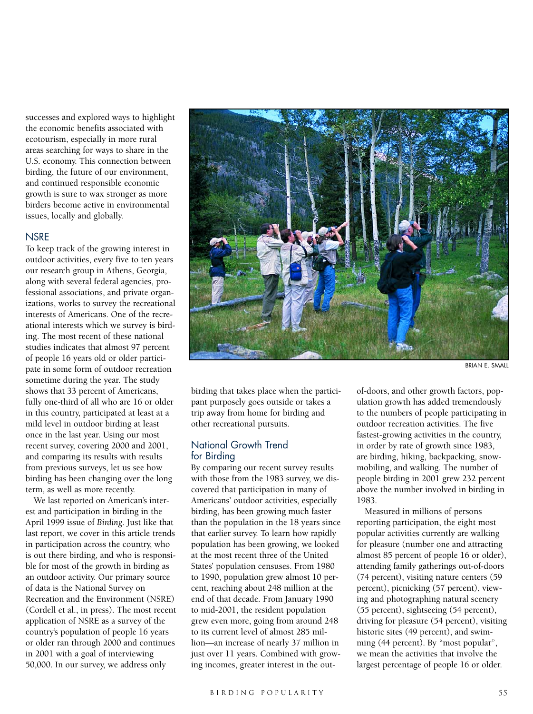successes and explored ways to highlight the economic benefits associated with ecotourism, especially in more rural areas searching for ways to share in the U.S. economy. This connection between birding, the future of our environment, and continued responsible economic growth is sure to wax stronger as more birders become active in environmental issues, locally and globally.

#### **NSRE**

To keep track of the growing interest in outdoor activities, every five to ten years our research group in Athens, Georgia, along with several federal agencies, professional associations, and private organizations, works to survey the recreational interests of Americans. One of the recreational interests which we survey is birding. The most recent of these national studies indicates that almost 97 percent of people 16 years old or older participate in some form of outdoor recreation sometime during the year. The study shows that 33 percent of Americans, fully one-third of all who are 16 or older in this country, participated at least at a mild level in outdoor birding at least once in the last year. Using our most recent survey, covering 2000 and 2001, and comparing its results with results from previous surveys, let us see how birding has been changing over the long term, as well as more recently.

We last reported on American's interest and participation in birding in the April 1999 issue of *Birding*. Just like that last report, we cover in this article trends in participation across the country, who is out there birding, and who is responsible for most of the growth in birding as an outdoor activity. Our primary source of data is the National Survey on Recreation and the Environment (NSRE) (Cordell et al., in press). The most recent application of NSRE as a survey of the country's population of people 16 years or older ran through 2000 and continues in 2001 with a goal of interviewing 50,000. In our survey, we address only



BRIAN E. SMALL

birding that takes place when the participant purposely goes outside or takes a trip away from home for birding and other recreational pursuits.

#### National Growth Trend for Birding

By comparing our recent survey results with those from the 1983 survey, we discovered that participation in many of Americans' outdoor activities, especially birding, has been growing much faster than the population in the 18 years since that earlier survey. To learn how rapidly population has been growing, we looked at the most recent three of the United States' population censuses. From 1980 to 1990, population grew almost 10 percent, reaching about 248 million at the end of that decade. From January 1990 to mid-2001, the resident population grew even more, going from around 248 to its current level of almost 285 million—an increase of nearly 37 million in just over 11 years. Combined with growing incomes, greater interest in the out-

of-doors, and other growth factors, population growth has added tremendously to the numbers of people participating in outdoor recreation activities. The five fastest-growing activities in the country, in order by rate of growth since 1983, are birding, hiking, backpacking, snowmobiling, and walking. The number of people birding in 2001 grew 232 percent above the number involved in birding in 1983.

Measured in millions of persons reporting participation, the eight most popular activities currently are walking for pleasure (number one and attracting almost 85 percent of people 16 or older), attending family gatherings out-of-doors (74 percent), visiting nature centers (59 percent), picnicking (57 percent), viewing and photographing natural scenery (55 percent), sightseeing (54 percent), driving for pleasure (54 percent), visiting historic sites (49 percent), and swimming (44 percent). By "most popular", we mean the activities that involve the largest percentage of people 16 or older.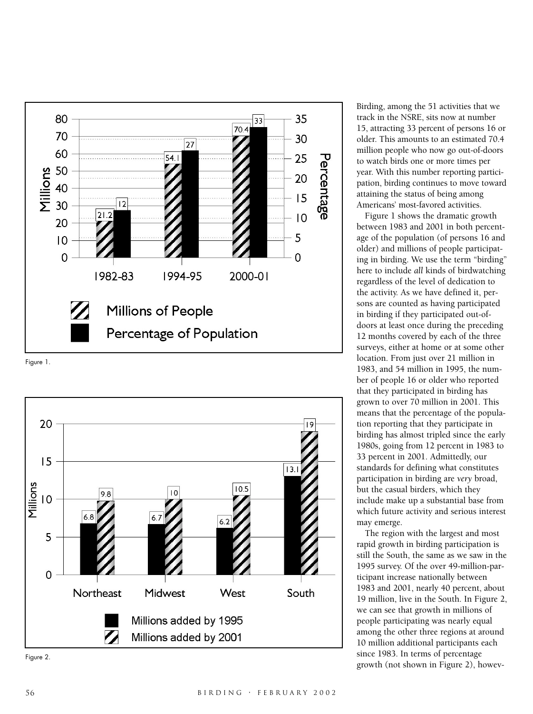

Figure 1.



Figure 2.

Birding, among the 51 activities that we track in the NSRE, sits now at number 15, attracting 33 percent of persons 16 or older. This amounts to an estimated 70.4 million people who now go out-of-doors to watch birds one or more times per year. With this number reporting participation, birding continues to move toward attaining the status of being among Americans' most-favored activities.

Figure 1 shows the dramatic growth between 1983 and 2001 in both percentage of the population (of persons 16 and older) and millions of people participating in birding. We use the term "birding" here to include *all* kinds of birdwatching regardless of the level of dedication to the activity. As we have defined it, persons are counted as having participated in birding if they participated out-ofdoors at least once during the preceding 12 months covered by each of the three surveys, either at home or at some other location. From just over 21 million in 1983, and 54 million in 1995, the number of people 16 or older who reported that they participated in birding has grown to over 70 million in 2001. This means that the percentage of the population reporting that they participate in birding has almost tripled since the early 1980s, going from 12 percent in 1983 to 33 percent in 2001. Admittedly, our standards for defining what constitutes participation in birding are *very* broad, but the casual birders, which they include make up a substantial base from which future activity and serious interest may emerge.

The region with the largest and most rapid growth in birding participation is still the South, the same as we saw in the 1995 survey. Of the over 49-million-participant increase nationally between 1983 and 2001, nearly 40 percent, about 19 million, live in the South. In Figure 2, we can see that growth in millions of people participating was nearly equal among the other three regions at around 10 million additional participants each since 1983. In terms of percentage growth (not shown in Figure 2), howev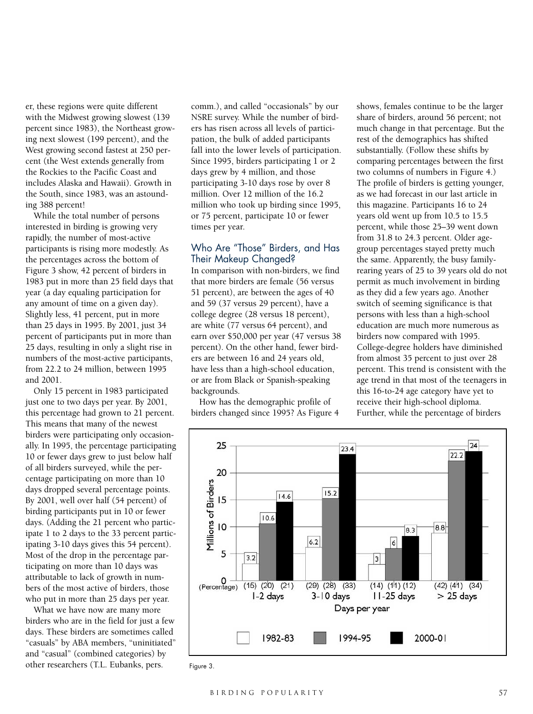er, these regions were quite different with the Midwest growing slowest (139 percent since 1983), the Northeast growing next slowest (199 percent), and the West growing second fastest at 250 percent (the West extends generally from the Rockies to the Pacific Coast and includes Alaska and Hawaii). Growth in the South, since 1983, was an astounding 388 percent!

While the total number of persons interested in birding is growing very rapidly, the number of most-active participants is rising more modestly. As the percentages across the bottom of Figure 3 show, 42 percent of birders in 1983 put in more than 25 field days that year (a day equaling participation for any amount of time on a given day). Slightly less, 41 percent, put in more than 25 days in 1995. By 2001, just 34 percent of participants put in more than 25 days, resulting in only a slight rise in numbers of the most-active participants, from 22.2 to 24 million, between 1995 and 2001.

Only 15 percent in 1983 participated just one to two days per year. By 2001, this percentage had grown to 21 percent. This means that many of the newest birders were participating only occasionally. In 1995, the percentage participating 10 or fewer days grew to just below half of all birders surveyed, while the percentage participating on more than 10 days dropped several percentage points. By 2001, well over half (54 percent) of birding participants put in 10 or fewer days. (Adding the 21 percent who participate 1 to 2 days to the 33 percent participating 3-10 days gives this 54 percent). Most of the drop in the percentage participating on more than 10 days was attributable to lack of growth in numbers of the most active of birders, those who put in more than 25 days per year.

What we have now are many more birders who are in the field for just a few days. These birders are sometimes called "casuals" by ABA members, "uninitiated" and "casual" (combined categories) by other researchers (T.L. Eubanks, pers.

comm.), and called "occasionals" by our NSRE survey. While the number of birders has risen across all levels of participation, the bulk of added participants fall into the lower levels of participation. Since 1995, birders participating 1 or 2 days grew by 4 million, and those participating 3-10 days rose by over 8 million. Over 12 million of the 16.2 million who took up birding since 1995, or 75 percent, participate 10 or fewer times per year.

#### Who Are "Those" Birders, and Has Their Makeup Changed?

In comparison with non-birders, we find that more birders are female (56 versus 51 percent), are between the ages of 40 and 59 (37 versus 29 percent), have a college degree (28 versus 18 percent), are white (77 versus 64 percent), and earn over \$50,000 per year (47 versus 38 percent). On the other hand, fewer birders are between 16 and 24 years old, have less than a high-school education, or are from Black or Spanish-speaking backgrounds.

How has the demographic profile of birders changed since 1995? As Figure 4

shows, females continue to be the larger share of birders, around 56 percent; not much change in that percentage. But the rest of the demographics has shifted substantially. (Follow these shifts by comparing percentages between the first two columns of numbers in Figure 4.) The profile of birders is getting younger, as we had forecast in our last article in this magazine. Participants 16 to 24 years old went up from 10.5 to 15.5 percent, while those 25–39 went down from 31.8 to 24.3 percent. Older agegroup percentages stayed pretty much the same. Apparently, the busy familyrearing years of 25 to 39 years old do not permit as much involvement in birding as they did a few years ago. Another switch of seeming significance is that persons with less than a high-school education are much more numerous as birders now compared with 1995. College-degree holders have diminished from almost 35 percent to just over 28 percent. This trend is consistent with the age trend in that most of the teenagers in this 16-to-24 age category have yet to receive their high-school diploma. Further, while the percentage of birders



Figure 3.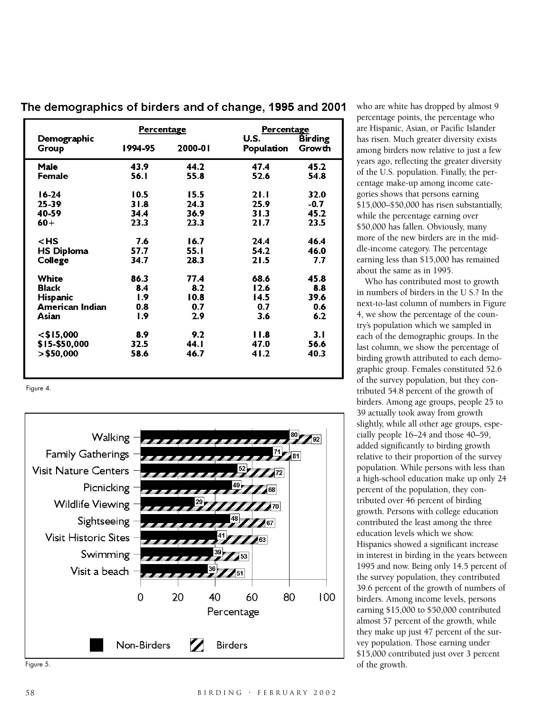| Demographic       | Percentage |         | Percentage<br>U.S. | <b>Birding</b> |
|-------------------|------------|---------|--------------------|----------------|
| Group             | 1994-95    | 2000-01 | Population         | Growth         |
| Male              | 43.9       | 44.2    | 47.4               | 45.2           |
| Female            | 56.1       | 55.8    | 52.6               | 54.8           |
| $16-24$           | 10.5       | 15.5    | 21.1               | 32.0           |
| $25 - 39$         | 31.8       | 24.3    | 25.9               | $-0.7$         |
| 40-59             | 34.4       | 36.9    | 31.3               | 45.2           |
| $60+$             | 23.3       | 23.3    | 21.7               | 23.5           |
| $<$ HS            | 7.6        | 16.7    | 24.4               | 46.4           |
| <b>HS Diploma</b> | 57.7       | 55.1    | 54.2               | 46.0           |
| College           | 34.7       | 28.3    | 21.5               | 7.7            |
| White             | 86.3       | 77.4    | 68.6               | 45.8           |
| <b>Black</b>      | 8.4        | 8.2     | 12.6               | 8.8            |
| <b>Hispanic</b>   | 1.9        | 10.8    | 14.5               | 39.6           |
| American Indian   | 0.8        | 0.7     | 0.7                | 0.6            |
| Asian             | I.9        | 2.9     | 3.6                | 6.2            |
| $<$ \$15,000      | 8.9        | 9.2     | 11.8               | 3.1            |
| \$15-\$50,000     | 32.5       | 44.I    | 47.0               | 56.6           |
| $>$ \$50,000      | 58.6       | 46.7    | 41.2               | 40.3           |
|                   |            |         |                    |                |

The demographics of birders and of change, 1995 and 2001

Figure 4.



Figure 5.

who are white has dropped by almost 9 percentage points, the percentage who are Hispanic, Asian, or Pacific Islander has risen. Much greater diversity exists among birders now relative to just a few years ago, reflecting the greater diversity of the U.S. population. Finally, the percentage make-up among income categories shows that persons earning \$15,000–\$50,000 has risen substantially, while the percentage earning over \$50,000 has fallen. Obviously, many more of the new birders are in the middle-income category. The percentage earning less than \$15,000 has remained

about the same as in 1995. Who has contributed most to growth in numbers of birders in the U S.? In the next-to-last column of numbers in Figure 4, we show the percentage of the country's population which we sampled in each of the demographic groups. In the last column, we show the percentage of birding growth attributed to each demographic group. Females constituted 52.6 of the survey population, but they contributed 54.8 percent of the growth of birders. Among age groups, people 25 to 39 actually took away from growth slightly, while all other age groups, especially people 16–24 and those 40–59, added significantly to birding growth relative to their proportion of the survey population. While persons with less than a high-school education make up only 24 percent of the population, they contributed over 46 percent of birding growth. Persons with college education contributed the least among the three education levels which we show. Hispanics showed a significant increase in interest in birding in the years between 1995 and now. Being only 14.5 percent of the survey population, they contributed 39.6 percent of the growth of numbers of birders. Among income levels, persons earning \$15,000 to \$50,000 contributed almost 57 percent of the growth, while they make up just 47 percent of the survey population. Those earning under \$15,000 contributed just over 3 percent of the growth.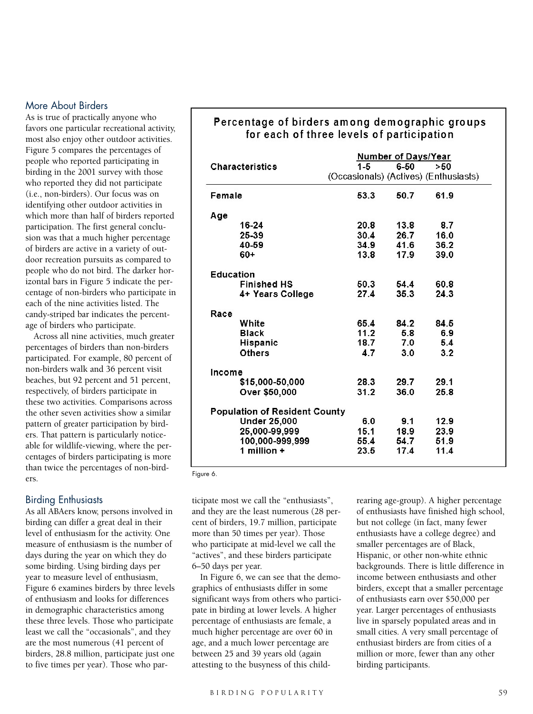### More About Birders

As is true of practically anyone who favors one particular recreational activity, most also enjoy other outdoor activities. Figure 5 compares the percentages of people who reported participating in birding in the 2001 survey with those who reported they did not participate (i.e., non-birders). Our focus was on identifying other outdoor activities in which more than half of birders reported participation. The first general conclusion was that a much higher percentage of birders are active in a variety of outdoor recreation pursuits as compared to people who do not bird. The darker horizontal bars in Figure 5 indicate the percentage of non-birders who participate in each of the nine activities listed. The candy-striped bar indicates the percentage of birders who participate.

Across all nine activities, much greater percentages of birders than non-birders participated. For example, 80 percent of non-birders walk and 36 percent visit beaches, but 92 percent and 51 percent, respectively, of birders participate in these two activities. Comparisons across the other seven activities show a similar pattern of greater participation by birders. That pattern is particularly noticeable for wildlife-viewing, where the percentages of birders participating is more than twice the percentages of non-birders.

#### Birding Enthusiasts

As all ABAers know, persons involved in birding can differ a great deal in their level of enthusiasm for the activity. One measure of enthusiasm is the number of days during the year on which they do some birding. Using birding days per year to measure level of enthusiasm, Figure 6 examines birders by three levels of enthusiasm and looks for differences in demographic characteristics among these three levels. Those who participate least we call the "occasionals", and they are the most numerous (41 percent of birders, 28.8 million, participate just one to five times per year). Those who par-

## Percentage of birders among demographic groups for each of three levels of participation

|                                      | <b>Number of Days/Year</b>            |      |      |  |
|--------------------------------------|---------------------------------------|------|------|--|
| <b>Characteristics</b>               | $1 - 5$                               | 6-50 | >50  |  |
|                                      | (Occasionals) (Actives) (Enthusiasts) |      |      |  |
| Female                               | 53.3                                  | 50.7 | 61.9 |  |
| Age                                  |                                       |      |      |  |
| 16-24                                | 20.8                                  | 13.8 | 8.7  |  |
| 25-39                                | 30.4                                  | 26.7 | 16.0 |  |
| 40-59                                | 34.9                                  | 41.6 | 36.2 |  |
| $60+$                                | 13.8                                  | 17.9 | 39.0 |  |
| Education                            |                                       |      |      |  |
| <b>Finished HS</b>                   | 50.3                                  | 54.4 | 60.8 |  |
| 4+ Years College                     | 27.4                                  | 35.3 | 24.3 |  |
| Race                                 |                                       |      |      |  |
| White                                | 65.4                                  | 84.2 | 84.5 |  |
| <b>Black</b>                         | 11.2                                  | 5.8  | 6.9  |  |
| Hispanic                             | 18.7                                  | 7.0  | 5.4  |  |
| <b>Others</b>                        | 4.7                                   | 3.0  | 3.2  |  |
| Income                               |                                       |      |      |  |
| \$15,000-50,000                      | 28.3                                  | 29.7 | 29.1 |  |
| Over \$50,000                        | 31.2                                  | 36.0 | 25.8 |  |
| <b>Population of Resident County</b> |                                       |      |      |  |
| <b>Under 25,000</b>                  | 6.0                                   | 9.1  | 12.9 |  |
| 25,000-99,999                        | 15.1                                  | 18.9 | 23.9 |  |
| 100,000-999,999                      | 55.4                                  | 54.7 | 51.9 |  |
| 1 million $+$                        | 23.5                                  | 17.4 | 11.4 |  |

Figure 6.

ticipate most we call the "enthusiasts", and they are the least numerous (28 percent of birders, 19.7 million, participate more than 50 times per year). Those who participate at mid-level we call the "actives", and these birders participate 6–50 days per year.

In Figure 6, we can see that the demographics of enthusiasts differ in some significant ways from others who participate in birding at lower levels. A higher percentage of enthusiasts are female, a much higher percentage are over 60 in age, and a much lower percentage are between 25 and 39 years old (again attesting to the busyness of this childrearing age-group). A higher percentage of enthusiasts have finished high school, but not college (in fact, many fewer enthusiasts have a college degree) and smaller percentages are of Black, Hispanic, or other non-white ethnic backgrounds. There is little difference in income between enthusiasts and other birders, except that a smaller percentage of enthusiasts earn over \$50,000 per year. Larger percentages of enthusiasts live in sparsely populated areas and in small cities. A very small percentage of enthusiast birders are from cities of a million or more, fewer than any other birding participants.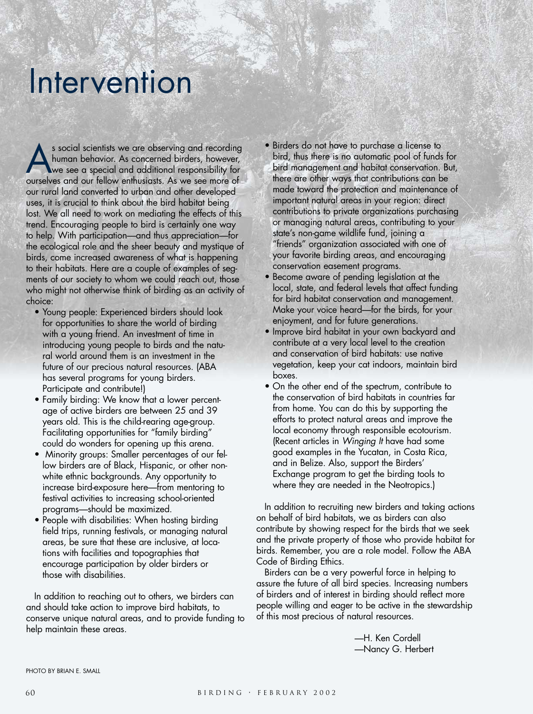# Intervention

s social scientists we are observing and recording<br>human behavior. As concerned birders, however,<br>we see a special and additional responsibility for<br>ourselves and our fellow enthusiasts. As we see more of human behavior. As concerned birders, however, ourselves and our fellow enthusiasts. As we see more of our rural land converted to urban and other developed uses, it is crucial to think about the bird habitat being lost. We all need to work on mediating the effects of this trend. Encouraging people to bird is certainly one way to help. With participation—and thus appreciation—for the ecological role and the sheer beauty and mystique of birds, come increased awareness of what is happening to their habitats. Here are a couple of examples of segments of our society to whom we could reach out, those who might not otherwise think of birding as an activity of choice:

- Young people: Experienced birders should look for opportunities to share the world of birding with a young friend. An investment of time in introducing young people to birds and the natural world around them is an investment in the future of our precious natural resources. (ABA has several programs for young birders. Participate and contribute!)
- Family birding: We know that a lower percentage of active birders are between 25 and 39 years old. This is the child-rearing age-group. Facilitating opportunities for "family birding" could do wonders for opening up this arena.
- Minority groups: Smaller percentages of our fellow birders are of Black, Hispanic, or other nonwhite ethnic backgrounds. Any opportunity to increase bird-exposure here—from mentoring to festival activities to increasing school-oriented programs—should be maximized.
- People with disabilities: When hosting birding field trips, running festivals, or managing natural areas, be sure that these are inclusive, at locations with facilities and topographies that encourage participation by older birders or those with disabilities.

In addition to reaching out to others, we birders can and should take action to improve bird habitats, to conserve unique natural areas, and to provide funding to help maintain these areas.

- Birders do not have to purchase a license to bird, thus there is no automatic pool of funds for bird management and habitat conservation. But, there are other ways that contributions can be made toward the protection and maintenance of important natural areas in your region: direct contributions to private organizations purchasing or managing natural areas, contributing to your state's non-game wildlife fund, joining a "friends" organization associated with one of your favorite birding areas, and encouraging conservation easement programs.
- Become aware of pending legislation at the local, state, and federal levels that affect funding for bird habitat conservation and management. Make your voice heard—for the birds, for your enjoyment, and for future generations.
- Improve bird habitat in your own backyard and contribute at a very local level to the creation and conservation of bird habitats: use native vegetation, keep your cat indoors, maintain bird boxes.
- On the other end of the spectrum, contribute to the conservation of bird habitats in countries far from home. You can do this by supporting the efforts to protect natural areas and improve the local economy through responsible ecotourism. (Recent articles in *Winging It* have had some good examples in the Yucatan, in Costa Rica, and in Belize. Also, support the Birders' Exchange program to get the birding tools to where they are needed in the Neotropics.)

In addition to recruiting new birders and taking actions on behalf of bird habitats, we as birders can also contribute by showing respect for the birds that we seek and the private property of those who provide habitat for birds. Remember, you are a role model. Follow the ABA Code of Birding Ethics.

Birders can be a very powerful force in helping to assure the future of all bird species. Increasing numbers of birders and of interest in birding should reflect more people willing and eager to be active in the stewardship of this most precious of natural resources.

> —H. Ken Cordell —Nancy G. Herbert

PHOTO BY BRIAN F. SMAIL